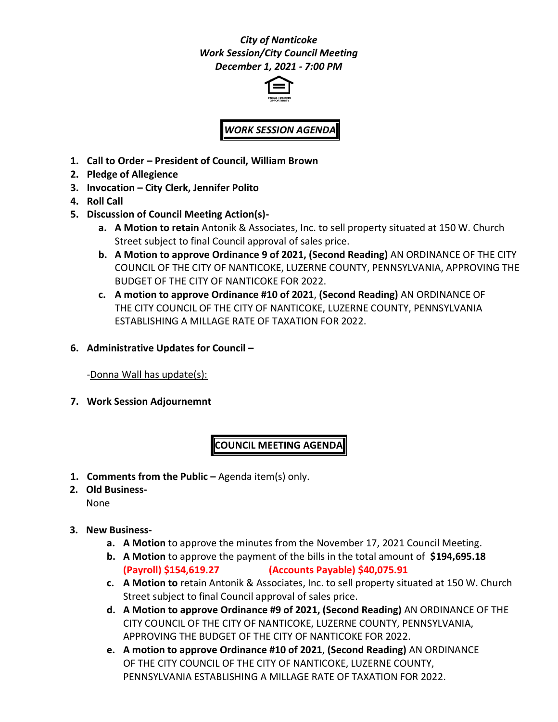# *City of Nanticoke Work Session/City Council Meeting December 1, 2021 - 7:00 PM*



# *WORK SESSION AGENDA*

- **1. Call to Order – President of Council, William Brown**
- **2. Pledge of Allegience**
- **3. Invocation – City Clerk, Jennifer Polito**
- **4. Roll Call**
- **5. Discussion of Council Meeting Action(s)**
	- **a. A Motion to retain** Antonik & Associates, Inc. to sell property situated at 150 W. Church Street subject to final Council approval of sales price.
	- **b. A Motion to approve Ordinance 9 of 2021, (Second Reading)** AN ORDINANCE OF THE CITY COUNCIL OF THE CITY OF NANTICOKE, LUZERNE COUNTY, PENNSYLVANIA, APPROVING THE BUDGET OF THE CITY OF NANTICOKE FOR 2022.
	- **c. A motion to approve Ordinance #10 of 2021**, **(Second Reading)** AN ORDINANCE OF THE CITY COUNCIL OF THE CITY OF NANTICOKE, LUZERNE COUNTY, PENNSYLVANIA ESTABLISHING A MILLAGE RATE OF TAXATION FOR 2022.
- **6. Administrative Updates for Council –**

-Donna Wall has update(s):

**7. Work Session Adjournemnt**

# **COUNCIL MEETING AGENDA**

- **1. Comments from the Public –** Agenda item(s) only.
- **2. Old Business-**None
- **3. New Business**
	- **a. A Motion** to approve the minutes from the November 17, 2021 Council Meeting.
	- **b. A Motion** to approve the payment of the bills in the total amount of **\$194,695.18 (Payroll) \$154,619.27 (Accounts Payable) \$40,075.91**
	- **c. A Motion to** retain Antonik & Associates, Inc. to sell property situated at 150 W. Church Street subject to final Council approval of sales price.
	- **d. A Motion to approve Ordinance #9 of 2021, (Second Reading)** AN ORDINANCE OF THE CITY COUNCIL OF THE CITY OF NANTICOKE, LUZERNE COUNTY, PENNSYLVANIA, APPROVING THE BUDGET OF THE CITY OF NANTICOKE FOR 2022.
	- **e. A motion to approve Ordinance #10 of 2021**, **(Second Reading)** AN ORDINANCE OF THE CITY COUNCIL OF THE CITY OF NANTICOKE, LUZERNE COUNTY, PENNSYLVANIA ESTABLISHING A MILLAGE RATE OF TAXATION FOR 2022.